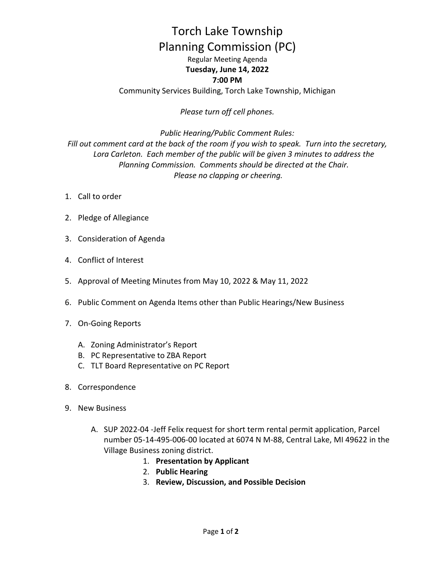## Torch Lake Township Planning Commission (PC)

Regular Meeting Agenda **Tuesday, June 14, 2022 7:00 PM**

Community Services Building, Torch Lake Township, Michigan

*Please turn off cell phones.* 

*Public Hearing/Public Comment Rules: Fill out comment card at the back of the room if you wish to speak. Turn into the secretary, Lora Carleton. Each member of the public will be given 3 minutes to address the Planning Commission. Comments should be directed at the Chair. Please no clapping or cheering.*

- 1. Call to order
- 2. Pledge of Allegiance
- 3. Consideration of Agenda
- 4. Conflict of Interest
- 5. Approval of Meeting Minutes from May 10, 2022 & May 11, 2022
- 6. Public Comment on Agenda Items other than Public Hearings/New Business
- 7. On-Going Reports
	- A. Zoning Administrator's Report
	- B. PC Representative to ZBA Report
	- C. TLT Board Representative on PC Report
- 8. Correspondence
- 9. New Business
	- A. SUP 2022-04 -Jeff Felix request for short term rental permit application, Parcel number 05-14-495-006-00 located at 6074 N M-88, Central Lake, MI 49622 in the Village Business zoning district.
		- 1. **Presentation by Applicant**
		- 2. **Public Hearing**
		- 3. **Review, Discussion, and Possible Decision**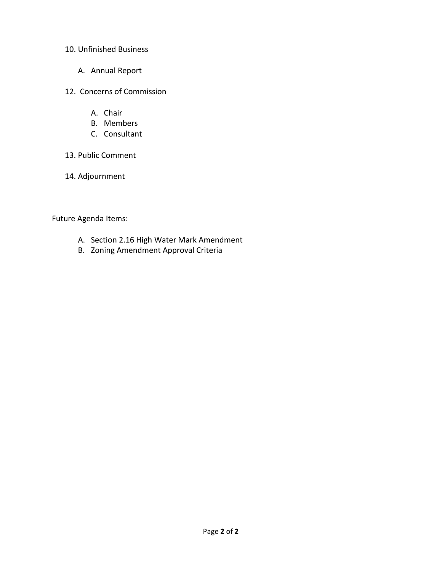## 10. Unfinished Business

- A. Annual Report
- 12. Concerns of Commission
	- A. Chair
	- B. Members
	- C. Consultant
- 13. Public Comment
- 14. Adjournment

Future Agenda Items:

- A. Section 2.16 High Water Mark Amendment
- B. Zoning Amendment Approval Criteria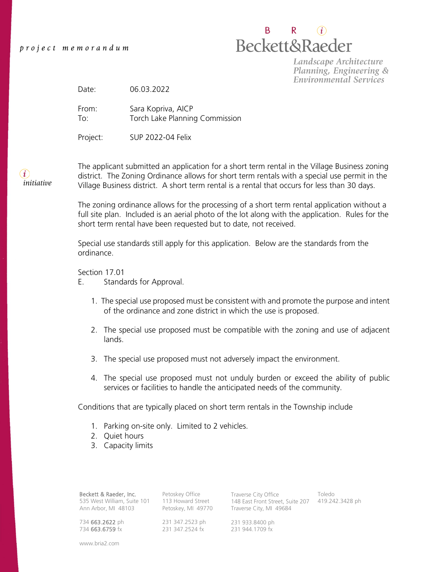B. R.  $(i)$ **Beckett&Raeder** 

Landscape Architecture Planning, Engineering & **Environmental Services** 

Date: 06.03.2022

From: Sara Kopriva, AICP To: Torch Lake Planning Commission

Project: SUP 2022-04 Felix

 $(i)$ *initiative* The applicant submitted an application for a short term rental in the Village Business zoning district. The Zoning Ordinance allows for short term rentals with a special use permit in the Village Business district. A short term rental is a rental that occurs for less than 30 days.

The zoning ordinance allows for the processing of a short term rental application without a full site plan. Included is an aerial photo of the lot along with the application. Rules for the short term rental have been requested but to date, not received.

Special use standards still apply for this application. Below are the standards from the ordinance.

Section 17.01

- E. Standards for Approval.
	- 1. The special use proposed must be consistent with and promote the purpose and intent of the ordinance and zone district in which the use is proposed.
	- 2. The special use proposed must be compatible with the zoning and use of adjacent lands.
	- 3. The special use proposed must not adversely impact the environment.
	- 4. The special use proposed must not unduly burden or exceed the ability of public services or facilities to handle the anticipated needs of the community.

Conditions that are typically placed on short term rentals in the Township include

- 1. Parking on-site only. Limited to 2 vehicles.
- 2. Quiet hours
- 3. Capacity limits

Beckett & Raeder, Inc. 535 West William, Suite 101 Ann Arbor, MI 48103

113 Howard Street Petoskey, MI 49770

231 347.2523 ph 231 347.2524 fx

Petoskey Office

Traverse City Office 148 East Front Street, Suite 207 Traverse City, MI 49684 Toledo 419.242.3428 ph

231 933.8400 ph 231 944.1709 fx

734 663.6759 fx www.bria2.com

734 663.2622 ph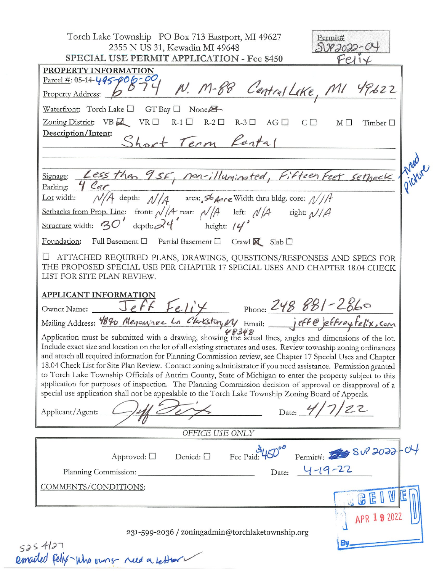| 2355 N US 31, Kewadin MI 49648<br>50P2022-<br>SPECIAL USE PERMIT APPLICATION - Fee \$450<br>PROPERTY INFORMATION<br>$\frac{F_{\text{arcel}}}{F_{\text{nonerty}}}\approx 0.5-14-495-006-00$<br>Property Address: $6^{97}$ W. M-88 Central Lake, MI 49622<br>Waterfront: Torch Lake $\Box$ GT Bay $\Box$ None                                                                                                                                                                                                                                                                                                                                                                                                                                                                                                                                                                                                                                                                                               |
|-----------------------------------------------------------------------------------------------------------------------------------------------------------------------------------------------------------------------------------------------------------------------------------------------------------------------------------------------------------------------------------------------------------------------------------------------------------------------------------------------------------------------------------------------------------------------------------------------------------------------------------------------------------------------------------------------------------------------------------------------------------------------------------------------------------------------------------------------------------------------------------------------------------------------------------------------------------------------------------------------------------|
|                                                                                                                                                                                                                                                                                                                                                                                                                                                                                                                                                                                                                                                                                                                                                                                                                                                                                                                                                                                                           |
|                                                                                                                                                                                                                                                                                                                                                                                                                                                                                                                                                                                                                                                                                                                                                                                                                                                                                                                                                                                                           |
| Zoning District: $VB \rightarrow \negthinspace \rightarrow \negthinspace \rightarrow \negthinspace \rightarrow \negthinspace \rightarrow \negthinspace \rightarrow \negthinspace \rightarrow \negthinspace \rightarrow \negthinspace \rightarrow \negthinspace \rightarrow \negthinspace \rightarrow \negthinspace \rightarrow \negthinspace \rightarrow \negthinspace \rightarrow \negthinspace \rightarrow \negthinspace \rightarrow \negthinspace \rightarrow \negthinspace \rightarrow \negthinspace \rightarrow \negthinspace \rightarrow \negthinspace \rightarrow \negthinspace \rightarrow \negthinspace \rightarrow \negthinspace \rightarrow \negthinspace \rightarrow \negthinspace \rightarrow \negthinspace \rightarrow \negthinspace \rightarrow \negthinspace \rightarrow \negthinspace \rightarrow \negthinspace \rightarrow \negthinspace \rightarrow \negthinspace \rightarrow \negthinspace \rightarrow \neg$<br>$M \Box$<br>Timber $\Box$<br>Description/Intent:<br>Short Term Rental |
|                                                                                                                                                                                                                                                                                                                                                                                                                                                                                                                                                                                                                                                                                                                                                                                                                                                                                                                                                                                                           |
| Less than 9 SF, Non-illuminated, Fifteen Feet sethack<br>Signage:<br>4 Car<br>Parking:                                                                                                                                                                                                                                                                                                                                                                                                                                                                                                                                                                                                                                                                                                                                                                                                                                                                                                                    |
| $N/A$ depth: $N/A$ area: 56 <i>Aere</i> Width thru bldg. core: $N/A$<br>Lot width:<br>Setbacks from Prop. Line: front: $\sqrt{A}$ rear: $\sqrt{A}$ left: $\sqrt{A}$ right: $\sqrt{A}$<br>Structure width: $30'$ depth: $24'$ height: $14'$                                                                                                                                                                                                                                                                                                                                                                                                                                                                                                                                                                                                                                                                                                                                                                |
|                                                                                                                                                                                                                                                                                                                                                                                                                                                                                                                                                                                                                                                                                                                                                                                                                                                                                                                                                                                                           |
| Foundation: Full Basement □ Partial Basement □ Crawl X Slab □                                                                                                                                                                                                                                                                                                                                                                                                                                                                                                                                                                                                                                                                                                                                                                                                                                                                                                                                             |
| □ ATTACHED REQUIRED PLANS, DRAWINGS, QUESTIONS/RESPONSES AND SPECS FOR<br>THE PROPOSED SPECIAL USE PER CHAPTER 17 SPECIAL USES AND CHAPTER 18.04 CHECK<br>LIST FOR SITE PLAN REVIEW.                                                                                                                                                                                                                                                                                                                                                                                                                                                                                                                                                                                                                                                                                                                                                                                                                      |
| <b>APPLICANT INFORMATION</b><br>Owner Name: Jeff Felix Phone: 248 881-2860<br>Mailing Address: 4890 Menonvines La Clarkston My Email: jeffe jeffreyfelix, com                                                                                                                                                                                                                                                                                                                                                                                                                                                                                                                                                                                                                                                                                                                                                                                                                                             |
| Application must be submitted with a drawing, showing the actual lines, angles and dimensions of the lot.<br>Include exact size and location on the lot of all existing structures and uses. Review township zoning ordinances<br>and attach all required information for Planning Commission review, see Chapter 17 Special Uses and Chapter<br>18.04 Check List for Site Plan Review. Contact zoning administrator if you need assistance. Permission granted<br>to Torch Lake Township Officials of Antrim County, State of Michigan to enter the property subject to this<br>application for purposes of inspection. The Planning Commission decision of approval or disapproval of a<br>special use application shall not be appealable to the Torch Lake Township Zoning Board of Appeals.                                                                                                                                                                                                          |
| Date: $4/7/22$<br>Applicant/Agent:                                                                                                                                                                                                                                                                                                                                                                                                                                                                                                                                                                                                                                                                                                                                                                                                                                                                                                                                                                        |
| OFFICE USE ONLY                                                                                                                                                                                                                                                                                                                                                                                                                                                                                                                                                                                                                                                                                                                                                                                                                                                                                                                                                                                           |
| Permit#: 5002022-04<br>Fee Paid<br>Denied: $\square$<br>Approved: $\square$                                                                                                                                                                                                                                                                                                                                                                                                                                                                                                                                                                                                                                                                                                                                                                                                                                                                                                                               |
| Date: 4-19-22                                                                                                                                                                                                                                                                                                                                                                                                                                                                                                                                                                                                                                                                                                                                                                                                                                                                                                                                                                                             |
| COMMENTS/CONDITIONS:<br>GE                                                                                                                                                                                                                                                                                                                                                                                                                                                                                                                                                                                                                                                                                                                                                                                                                                                                                                                                                                                |
| APR 1920                                                                                                                                                                                                                                                                                                                                                                                                                                                                                                                                                                                                                                                                                                                                                                                                                                                                                                                                                                                                  |
| 231-599-2036 / zoningadmin@torchlaketownship.org                                                                                                                                                                                                                                                                                                                                                                                                                                                                                                                                                                                                                                                                                                                                                                                                                                                                                                                                                          |
| 525 4127<br>Remarted Felix-Who owns- rud a latter                                                                                                                                                                                                                                                                                                                                                                                                                                                                                                                                                                                                                                                                                                                                                                                                                                                                                                                                                         |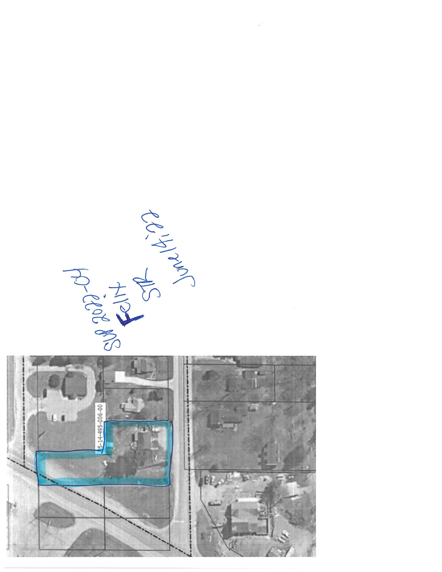

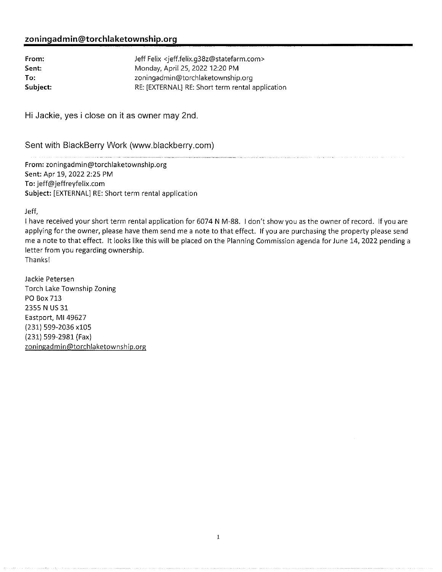## zoningadmin@torchlaketownship.org

| From:    | Jeff Felix <jeff.felix.q38z@statefarm.com></jeff.felix.q38z@statefarm.com> |
|----------|----------------------------------------------------------------------------|
| Sent:    | Monday, April 25, 2022 12:20 PM                                            |
| To:      | zoningadmin@torchlaketownship.org                                          |
| Subject: | RE: [EXTERNAL] RE: Short term rental application                           |

Hi Jackie, yes i close on it as owner may 2nd.

Sent with BlackBerry Work (www.blackberry.com)

From: zoningadmin@torchlaketownship.org Sent: Apr 19, 2022 2:25 PM To: jeff@jeffreyfelix.com Subject: [EXTERNAL] RE: Short term rental application

Jeff,

I have received your short term rental application for 6074 N M-88. I don't show you as the owner of record. If you are applying for the owner, please have them send me a note to that effect. If you are purchasing the property please send me a note to that effect. It looks like this will be placed on the Planning Commission agenda for June 14, 2022 pending a letter from you regarding ownership. Thanks!

Jackie Petersen Torch Lake Township Zoning PO Box 713 2355 N US 31 Eastport, MI 49627 (231) 599-2036 x105 (231) 599-2981 (Fax) zoningadmin@torchlaketownship.org